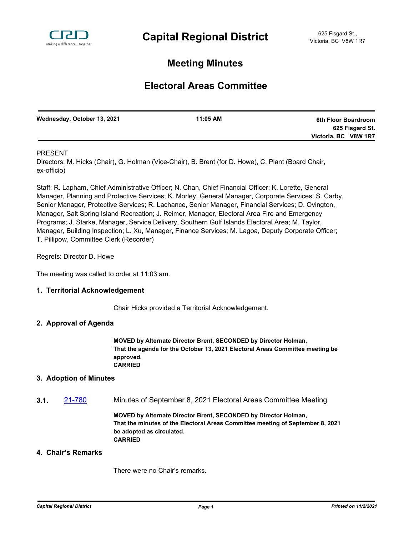

# **Meeting Minutes**

# **Electoral Areas Committee**

| Wednesday, October 13, 2021 | 11:05 AM | 6th Floor Boardroom  |
|-----------------------------|----------|----------------------|
|                             |          | 625 Fisgard St.      |
|                             |          | Victoria, BC V8W 1R7 |

## PRESENT

Directors: M. Hicks (Chair), G. Holman (Vice-Chair), B. Brent (for D. Howe), C. Plant (Board Chair, ex-officio)

Staff: R. Lapham, Chief Administrative Officer; N. Chan, Chief Financial Officer; K. Lorette, General Manager, Planning and Protective Services; K. Morley, General Manager, Corporate Services; S. Carby, Senior Manager, Protective Services; R. Lachance, Senior Manager, Financial Services; D. Ovington, Manager, Salt Spring Island Recreation; J. Reimer, Manager, Electoral Area Fire and Emergency Programs; J. Starke, Manager, Service Delivery, Southern Gulf Islands Electoral Area; M. Taylor, Manager, Building Inspection; L. Xu, Manager, Finance Services; M. Lagoa, Deputy Corporate Officer; T. Pillipow, Committee Clerk (Recorder)

Regrets: Director D. Howe

The meeting was called to order at 11:03 am.

## **1. Territorial Acknowledgement**

Chair Hicks provided a Territorial Acknowledgement.

## **2. Approval of Agenda**

**MOVED by Alternate Director Brent, SECONDED by Director Holman, That the agenda for the October 13, 2021 Electoral Areas Committee meeting be approved. CARRIED**

## **3. Adoption of Minutes**

**3.1.** [21-780](http://crd.ca.legistar.com/gateway.aspx?m=l&id=/matter.aspx?key=8728) Minutes of September 8, 2021 Electoral Areas Committee Meeting

**MOVED by Alternate Director Brent, SECONDED by Director Holman, That the minutes of the Electoral Areas Committee meeting of September 8, 2021 be adopted as circulated. CARRIED**

#### **4. Chair's Remarks**

There were no Chair's remarks.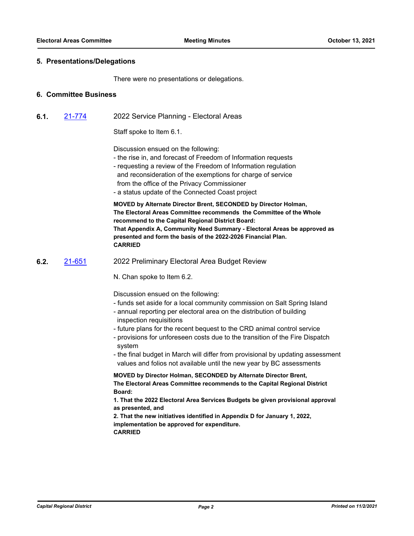### **5. Presentations/Delegations**

There were no presentations or delegations.

### **6. Committee Business**

**6.1.** [21-774](http://crd.ca.legistar.com/gateway.aspx?m=l&id=/matter.aspx?key=8722) 2022 Service Planning - Electoral Areas

Staff spoke to Item 6.1.

Discussion ensued on the following:

- the rise in, and forecast of Freedom of Information requests
- requesting a review of the Freedom of Information regulation and reconsideration of the exemptions for charge of service from the office of the Privacy Commissioner
- a status update of the Connected Coast project

**MOVED by Alternate Director Brent, SECONDED by Director Holman, The Electoral Areas Committee recommends the Committee of the Whole recommend to the Capital Regional District Board: That Appendix A, Community Need Summary - Electoral Areas be approved as presented and form the basis of the 2022-2026 Financial Plan. CARRIED**

**6.2.** [21-651](http://crd.ca.legistar.com/gateway.aspx?m=l&id=/matter.aspx?key=8599) 2022 Preliminary Electoral Area Budget Review

N. Chan spoke to Item 6.2.

Discussion ensued on the following:

- funds set aside for a local community commission on Salt Spring Island
- annual reporting per electoral area on the distribution of building inspection requisitions
- future plans for the recent bequest to the CRD animal control service
- provisions for unforeseen costs due to the transition of the Fire Dispatch system
- the final budget in March will differ from provisional by updating assessment values and folios not available until the new year by BC assessments

**MOVED by Director Holman, SECONDED by Alternate Director Brent, The Electoral Areas Committee recommends to the Capital Regional District Board:**

**1. That the 2022 Electoral Area Services Budgets be given provisional approval as presented, and** 

**2. That the new initiatives identified in Appendix D for January 1, 2022, implementation be approved for expenditure. CARRIED**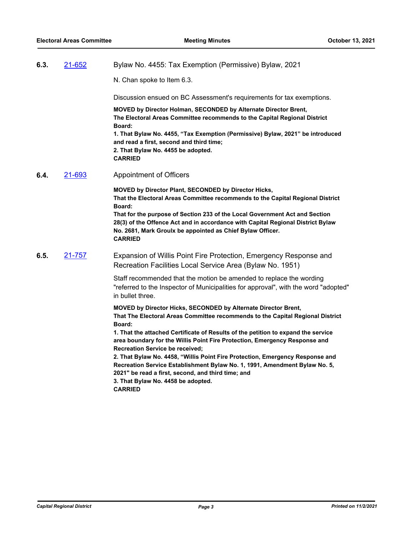**6.3.** [21-652](http://crd.ca.legistar.com/gateway.aspx?m=l&id=/matter.aspx?key=8600) Bylaw No. 4455: Tax Exemption (Permissive) Bylaw, 2021

N. Chan spoke to Item 6.3.

Discussion ensued on BC Assessment's requirements for tax exemptions.

**MOVED by Director Holman, SECONDED by Alternate Director Brent, The Electoral Areas Committee recommends to the Capital Regional District Board: 1. That Bylaw No. 4455, "Tax Exemption (Permissive) Bylaw, 2021" be introduced and read a first, second and third time; 2. That Bylaw No. 4455 be adopted.**

**CARRIED**

**6.4.** [21-693](http://crd.ca.legistar.com/gateway.aspx?m=l&id=/matter.aspx?key=8641) Appointment of Officers

**MOVED by Director Plant, SECONDED by Director Hicks, That the Electoral Areas Committee recommends to the Capital Regional District Board: That for the purpose of Section 233 of the Local Government Act and Section 28(3) of the Offence Act and in accordance with Capital Regional District Bylaw No. 2681, Mark Groulx be appointed as Chief Bylaw Officer. CARRIED**

**6.5.** [21-757](http://crd.ca.legistar.com/gateway.aspx?m=l&id=/matter.aspx?key=8705) Expansion of Willis Point Fire Protection, Emergency Response and Recreation Facilities Local Service Area (Bylaw No. 1951)

> Staff recommended that the motion be amended to replace the wording "referred to the Inspector of Municipalities for approval", with the word "adopted" in bullet three.

**MOVED by Director Hicks, SECONDED by Alternate Director Brent, That The Electoral Areas Committee recommends to the Capital Regional District Board:**

**1. That the attached Certificate of Results of the petition to expand the service area boundary for the Willis Point Fire Protection, Emergency Response and Recreation Service be received;** 

**2. That Bylaw No. 4458, "Willis Point Fire Protection, Emergency Response and Recreation Service Establishment Bylaw No. 1, 1991, Amendment Bylaw No. 5, 2021" be read a first, second, and third time; and**

**3. That Bylaw No. 4458 be adopted.** 

**CARRIED**